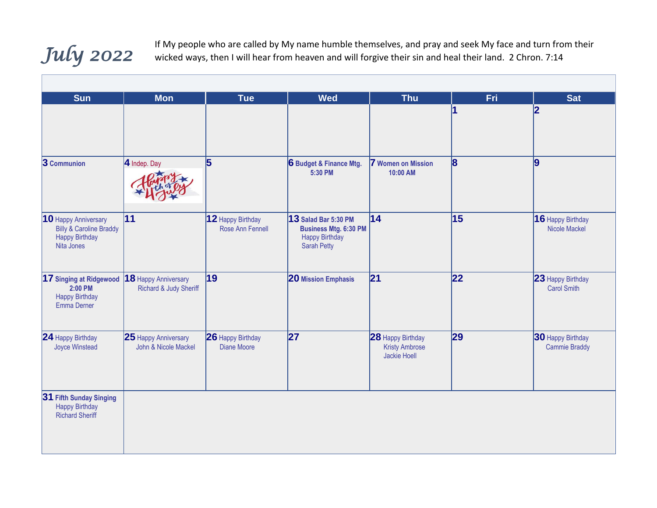## *July 2022*

If My people who are called by My name humble themselves, and pray and seek My face and turn from their wicked ways, then I will hear from heaven and will forgive their sin and heal their land. 2 Chron. 7:14

| <b>Sun</b>                                                                                        | <b>Mon</b>                                     | <b>Tue</b>                            | <b>Wed</b>                                                                                          | <b>Thu</b>                                                 | Fri             | <b>Sat</b>                                       |
|---------------------------------------------------------------------------------------------------|------------------------------------------------|---------------------------------------|-----------------------------------------------------------------------------------------------------|------------------------------------------------------------|-----------------|--------------------------------------------------|
|                                                                                                   |                                                |                                       |                                                                                                     |                                                            |                 | 2                                                |
| 3 Communion                                                                                       | 4 Indep. Day                                   | 5                                     | 6 Budget & Finance Mtg.<br>5:30 PM                                                                  | <b>7</b> Women on Mission<br>10:00 AM                      | 8               | 9                                                |
| 10 Happy Anniversary<br><b>Billy &amp; Caroline Braddy</b><br><b>Happy Birthday</b><br>Nita Jones | $\overline{11}$                                | 12 Happy Birthday<br>Rose Ann Fennell | 13 Salad Bar 5:30 PM<br><b>Business Mtg. 6:30 PM</b><br><b>Happy Birthday</b><br><b>Sarah Petty</b> | 14                                                         | $\overline{15}$ | 16 Happy Birthday<br><b>Nicole Mackel</b>        |
| 17 Singing at Ridgewood<br>2:00 PM<br><b>Happy Birthday</b><br>Emma Derner                        | 18 Happy Anniversary<br>Richard & Judy Sheriff | 19                                    | <b>20 Mission Emphasis</b>                                                                          | 21                                                         | 22              | 23 Happy Birthday<br><b>Carol Smith</b>          |
| 24 Happy Birthday<br><b>Joyce Winstead</b>                                                        | 25 Happy Anniversary<br>John & Nicole Mackel   | 26 Happy Birthday<br>Diane Moore      | 27                                                                                                  | 28 Happy Birthday<br><b>Kristy Ambrose</b><br>Jackie Hoell | 29              | <b>30 Happy Birthday</b><br><b>Cammie Braddy</b> |
| 31 Fifth Sunday Singing<br><b>Happy Birthday</b><br><b>Richard Sheriff</b>                        |                                                |                                       |                                                                                                     |                                                            |                 |                                                  |